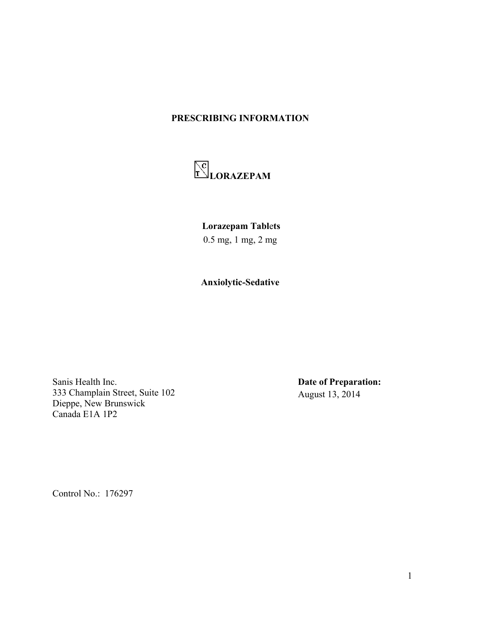## **PRESCRIBING INFORMATION**



**Lorazepam Tabl**e**ts**

0.5 mg, 1 mg, 2 mg

**Anxiolytic-Sedative**

Sanis Health Inc. 333 Champlain Street, Suite 102 Dieppe, New Brunswick Canada E1A 1P2

**Date of Preparation:** August 13, 2014

Control No.: 176297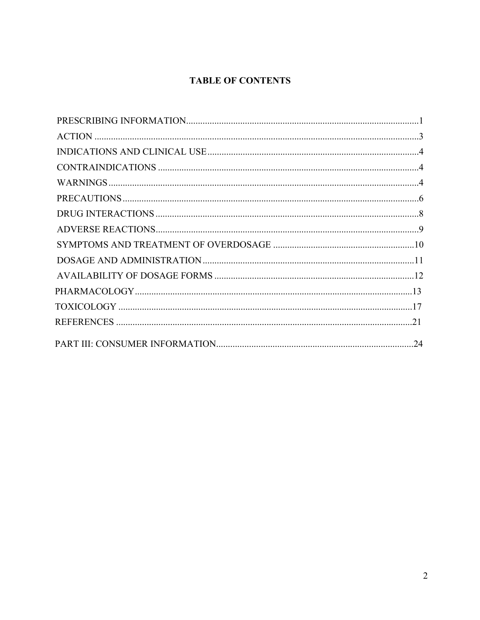# **TABLE OF CONTENTS**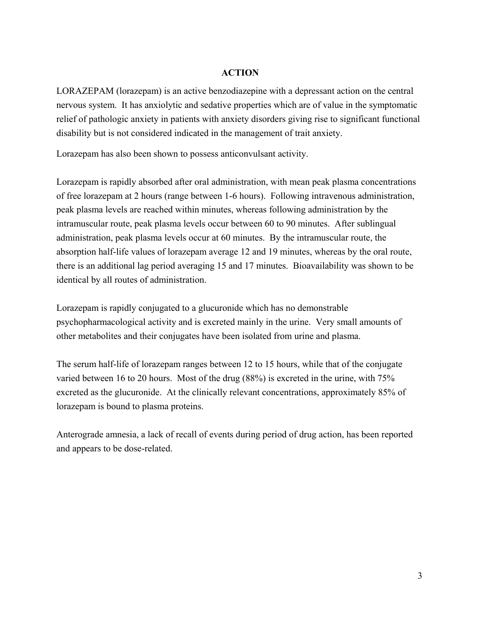### **ACTION**

LORAZEPAM (lorazepam) is an active benzodiazepine with a depressant action on the central nervous system. It has anxiolytic and sedative properties which are of value in the symptomatic relief of pathologic anxiety in patients with anxiety disorders giving rise to significant functional disability but is not considered indicated in the management of trait anxiety.

Lorazepam has also been shown to possess anticonvulsant activity.

Lorazepam is rapidly absorbed after oral administration, with mean peak plasma concentrations of free lorazepam at 2 hours (range between 1-6 hours). Following intravenous administration, peak plasma levels are reached within minutes, whereas following administration by the intramuscular route, peak plasma levels occur between 60 to 90 minutes. After sublingual administration, peak plasma levels occur at 60 minutes. By the intramuscular route, the absorption half-life values of lorazepam average 12 and 19 minutes, whereas by the oral route, there is an additional lag period averaging 15 and 17 minutes. Bioavailability was shown to be identical by all routes of administration.

Lorazepam is rapidly conjugated to a glucuronide which has no demonstrable psychopharmacological activity and is excreted mainly in the urine. Very small amounts of other metabolites and their conjugates have been isolated from urine and plasma.

The serum half-life of lorazepam ranges between 12 to 15 hours, while that of the conjugate varied between 16 to 20 hours. Most of the drug (88%) is excreted in the urine, with 75% excreted as the glucuronide. At the clinically relevant concentrations, approximately 85% of lorazepam is bound to plasma proteins.

Anterograde amnesia, a lack of recall of events during period of drug action, has been reported and appears to be dose-related.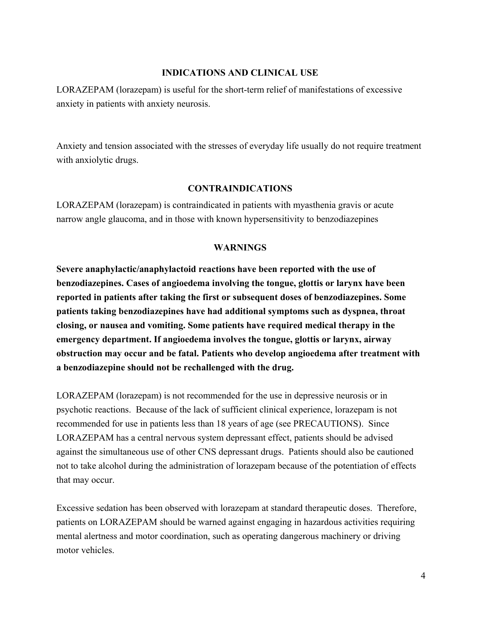### **INDICATIONS AND CLINICAL USE**

LORAZEPAM (lorazepam) is useful for the short-term relief of manifestations of excessive anxiety in patients with anxiety neurosis.

Anxiety and tension associated with the stresses of everyday life usually do not require treatment with anxiolytic drugs.

### **CONTRAINDICATIONS**

LORAZEPAM (lorazepam) is contraindicated in patients with myasthenia gravis or acute narrow angle glaucoma, and in those with known hypersensitivity to benzodiazepines

### **WARNINGS**

**Severe anaphylactic/anaphylactoid reactions have been reported with the use of benzodiazepines. Cases of angioedema involving the tongue, glottis or larynx have been reported in patients after taking the first or subsequent doses of benzodiazepines. Some patients taking benzodiazepines have had additional symptoms such as dyspnea, throat closing, or nausea and vomiting. Some patients have required medical therapy in the emergency department. If angioedema involves the tongue, glottis or larynx, airway obstruction may occur and be fatal. Patients who develop angioedema after treatment with a benzodiazepine should not be rechallenged with the drug.**

LORAZEPAM (lorazepam) is not recommended for the use in depressive neurosis or in psychotic reactions. Because of the lack of sufficient clinical experience, lorazepam is not recommended for use in patients less than 18 years of age (see PRECAUTIONS). Since LORAZEPAM has a central nervous system depressant effect, patients should be advised against the simultaneous use of other CNS depressant drugs. Patients should also be cautioned not to take alcohol during the administration of lorazepam because of the potentiation of effects that may occur.

Excessive sedation has been observed with lorazepam at standard therapeutic doses. Therefore, patients on LORAZEPAM should be warned against engaging in hazardous activities requiring mental alertness and motor coordination, such as operating dangerous machinery or driving motor vehicles.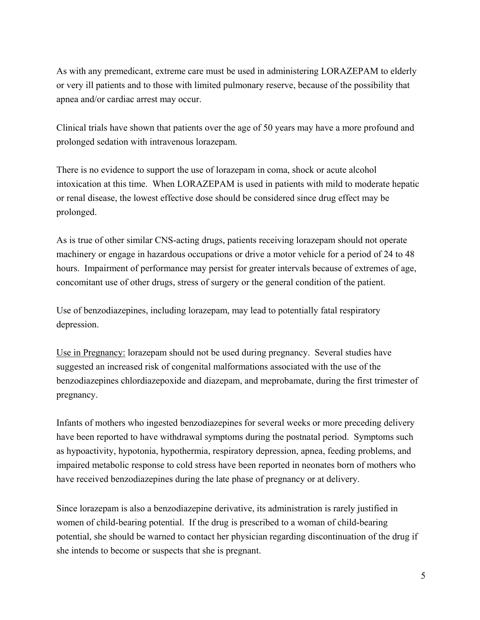As with any premedicant, extreme care must be used in administering LORAZEPAM to elderly or very ill patients and to those with limited pulmonary reserve, because of the possibility that apnea and/or cardiac arrest may occur.

Clinical trials have shown that patients over the age of 50 years may have a more profound and prolonged sedation with intravenous lorazepam.

There is no evidence to support the use of lorazepam in coma, shock or acute alcohol intoxication at this time. When LORAZEPAM is used in patients with mild to moderate hepatic or renal disease, the lowest effective dose should be considered since drug effect may be prolonged.

As is true of other similar CNS-acting drugs, patients receiving lorazepam should not operate machinery or engage in hazardous occupations or drive a motor vehicle for a period of 24 to 48 hours. Impairment of performance may persist for greater intervals because of extremes of age, concomitant use of other drugs, stress of surgery or the general condition of the patient.

Use of benzodiazepines, including lorazepam, may lead to potentially fatal respiratory depression.

Use in Pregnancy: lorazepam should not be used during pregnancy. Several studies have suggested an increased risk of congenital malformations associated with the use of the benzodiazepines chlordiazepoxide and diazepam, and meprobamate, during the first trimester of pregnancy.

Infants of mothers who ingested benzodiazepines for several weeks or more preceding delivery have been reported to have withdrawal symptoms during the postnatal period. Symptoms such as hypoactivity, hypotonia, hypothermia, respiratory depression, apnea, feeding problems, and impaired metabolic response to cold stress have been reported in neonates born of mothers who have received benzodiazepines during the late phase of pregnancy or at delivery.

Since lorazepam is also a benzodiazepine derivative, its administration is rarely justified in women of child-bearing potential. If the drug is prescribed to a woman of child-bearing potential, she should be warned to contact her physician regarding discontinuation of the drug if she intends to become or suspects that she is pregnant.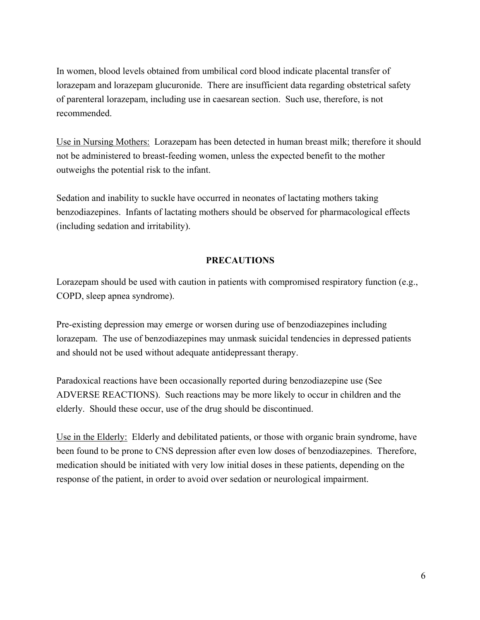In women, blood levels obtained from umbilical cord blood indicate placental transfer of lorazepam and lorazepam glucuronide. There are insufficient data regarding obstetrical safety of parenteral lorazepam, including use in caesarean section. Such use, therefore, is not recommended.

Use in Nursing Mothers: Lorazepam has been detected in human breast milk; therefore it should not be administered to breast-feeding women, unless the expected benefit to the mother outweighs the potential risk to the infant.

Sedation and inability to suckle have occurred in neonates of lactating mothers taking benzodiazepines. Infants of lactating mothers should be observed for pharmacological effects (including sedation and irritability).

## **PRECAUTIONS**

Lorazepam should be used with caution in patients with compromised respiratory function (e.g., COPD, sleep apnea syndrome).

Pre-existing depression may emerge or worsen during use of benzodiazepines including lorazepam. The use of benzodiazepines may unmask suicidal tendencies in depressed patients and should not be used without adequate antidepressant therapy.

Paradoxical reactions have been occasionally reported during benzodiazepine use (See ADVERSE REACTIONS). Such reactions may be more likely to occur in children and the elderly. Should these occur, use of the drug should be discontinued.

Use in the Elderly: Elderly and debilitated patients, or those with organic brain syndrome, have been found to be prone to CNS depression after even low doses of benzodiazepines. Therefore, medication should be initiated with very low initial doses in these patients, depending on the response of the patient, in order to avoid over sedation or neurological impairment.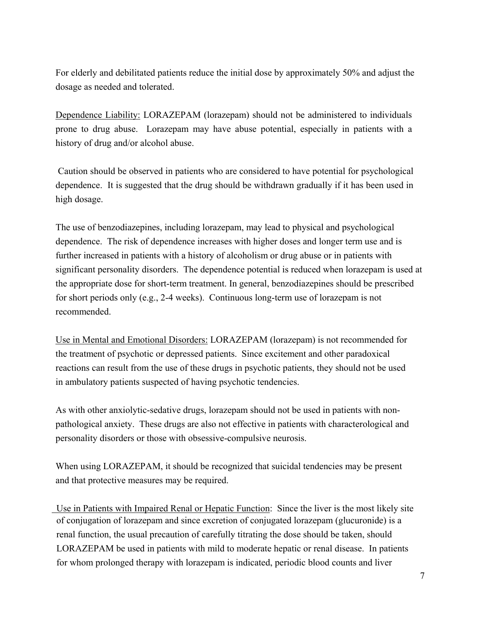For elderly and debilitated patients reduce the initial dose by approximately 50% and adjust the dosage as needed and tolerated.

Dependence Liability: LORAZEPAM (lorazepam) should not be administered to individuals prone to drug abuse. Lorazepam may have abuse potential, especially in patients with a history of drug and/or alcohol abuse.

Caution should be observed in patients who are considered to have potential for psychological dependence. It is suggested that the drug should be withdrawn gradually if it has been used in high dosage.

The use of benzodiazepines, including lorazepam, may lead to physical and psychological dependence. The risk of dependence increases with higher doses and longer term use and is further increased in patients with a history of alcoholism or drug abuse or in patients with significant personality disorders. The dependence potential is reduced when lorazepam is used at the appropriate dose for short-term treatment. In general, benzodiazepines should be prescribed for short periods only (e.g., 2-4 weeks). Continuous long-term use of lorazepam is not recommended.

Use in Mental and Emotional Disorders: LORAZEPAM (lorazepam) is not recommended for the treatment of psychotic or depressed patients. Since excitement and other paradoxical reactions can result from the use of these drugs in psychotic patients, they should not be used in ambulatory patients suspected of having psychotic tendencies.

As with other anxiolytic-sedative drugs, lorazepam should not be used in patients with nonpathological anxiety. These drugs are also not effective in patients with characterological and personality disorders or those with obsessive-compulsive neurosis.

When using LORAZEPAM, it should be recognized that suicidal tendencies may be present and that protective measures may be required.

 Use in Patients with Impaired Renal or Hepatic Function: Since the liver is the most likely site of conjugation of lorazepam and since excretion of conjugated lorazepam (glucuronide) is a renal function, the usual precaution of carefully titrating the dose should be taken, should LORAZEPAM be used in patients with mild to moderate hepatic or renal disease. In patients for whom prolonged therapy with lorazepam is indicated, periodic blood counts and liver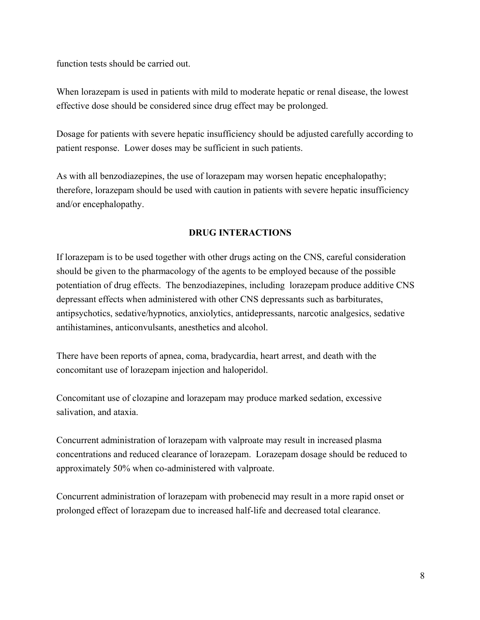function tests should be carried out.

When lorazepam is used in patients with mild to moderate hepatic or renal disease, the lowest effective dose should be considered since drug effect may be prolonged.

Dosage for patients with severe hepatic insufficiency should be adjusted carefully according to patient response. Lower doses may be sufficient in such patients.

As with all benzodiazepines, the use of lorazepam may worsen hepatic encephalopathy; therefore, lorazepam should be used with caution in patients with severe hepatic insufficiency and/or encephalopathy.

## **DRUG INTERACTIONS**

If lorazepam is to be used together with other drugs acting on the CNS, careful consideration should be given to the pharmacology of the agents to be employed because of the possible potentiation of drug effects. The benzodiazepines, including lorazepam produce additive CNS depressant effects when administered with other CNS depressants such as barbiturates, antipsychotics, sedative/hypnotics, anxiolytics, antidepressants, narcotic analgesics, sedative antihistamines, anticonvulsants, anesthetics and alcohol.

There have been reports of apnea, coma, bradycardia, heart arrest, and death with the concomitant use of lorazepam injection and haloperidol.

Concomitant use of clozapine and lorazepam may produce marked sedation, excessive salivation, and ataxia.

Concurrent administration of lorazepam with valproate may result in increased plasma concentrations and reduced clearance of lorazepam. Lorazepam dosage should be reduced to approximately 50% when co-administered with valproate.

Concurrent administration of lorazepam with probenecid may result in a more rapid onset or prolonged effect of lorazepam due to increased half-life and decreased total clearance.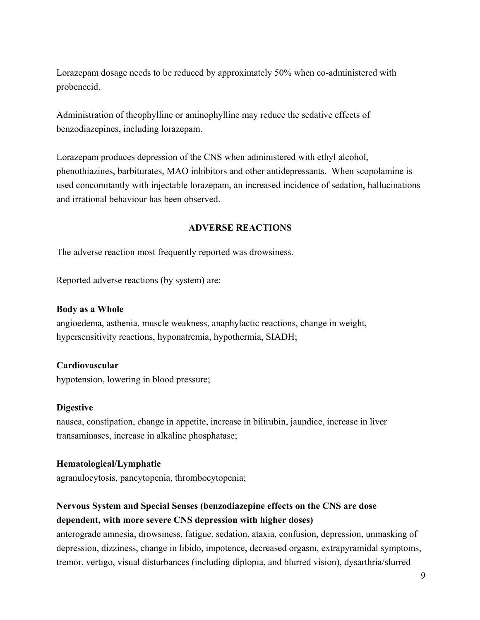Lorazepam dosage needs to be reduced by approximately 50% when co-administered with probenecid.

Administration of theophylline or aminophylline may reduce the sedative effects of benzodiazepines, including lorazepam.

Lorazepam produces depression of the CNS when administered with ethyl alcohol, phenothiazines, barbiturates, MAO inhibitors and other antidepressants. When scopolamine is used concomitantly with injectable lorazepam, an increased incidence of sedation, hallucinations and irrational behaviour has been observed.

### **ADVERSE REACTIONS**

The adverse reaction most frequently reported was drowsiness.

Reported adverse reactions (by system) are:

### **Body as a Whole**

angioedema, asthenia, muscle weakness, anaphylactic reactions, change in weight, hypersensitivity reactions, hyponatremia, hypothermia, SIADH;

### **Cardiovascular**

hypotension, lowering in blood pressure;

### **Digestive**

nausea, constipation, change in appetite, increase in bilirubin, jaundice, increase in liver transaminases, increase in alkaline phosphatase;

### **Hematological/Lymphatic**

agranulocytosis, pancytopenia, thrombocytopenia;

# **Nervous System and Special Senses (benzodiazepine effects on the CNS are dose dependent, with more severe CNS depression with higher doses)**

anterograde amnesia, drowsiness, fatigue, sedation, ataxia, confusion, depression, unmasking of depression, dizziness, change in libido, impotence, decreased orgasm, extrapyramidal symptoms, tremor, vertigo, visual disturbances (including diplopia, and blurred vision), dysarthria/slurred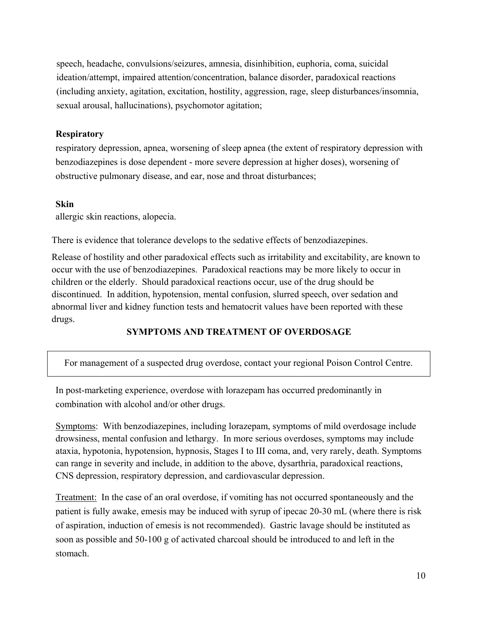speech, headache, convulsions/seizures, amnesia, disinhibition, euphoria, coma, suicidal ideation/attempt, impaired attention/concentration, balance disorder, paradoxical reactions (including anxiety, agitation, excitation, hostility, aggression, rage, sleep disturbances/insomnia, sexual arousal, hallucinations), psychomotor agitation;

### **Respiratory**

respiratory depression, apnea, worsening of sleep apnea (the extent of respiratory depression with benzodiazepines is dose dependent - more severe depression at higher doses), worsening of obstructive pulmonary disease, and ear, nose and throat disturbances;

### **Skin**

allergic skin reactions, alopecia.

There is evidence that tolerance develops to the sedative effects of benzodiazepines.

Release of hostility and other paradoxical effects such as irritability and excitability, are known to occur with the use of benzodiazepines. Paradoxical reactions may be more likely to occur in children or the elderly. Should paradoxical reactions occur, use of the drug should be discontinued. In addition, hypotension, mental confusion, slurred speech, over sedation and abnormal liver and kidney function tests and hematocrit values have been reported with these drugs.

### **SYMPTOMS AND TREATMENT OF OVERDOSAGE**

For management of a suspected drug overdose, contact your regional Poison Control Centre.

In post-marketing experience, overdose with lorazepam has occurred predominantly in combination with alcohol and/or other drugs.

Symptoms: With benzodiazepines, including lorazepam, symptoms of mild overdosage include drowsiness, mental confusion and lethargy. In more serious overdoses, symptoms may include ataxia, hypotonia, hypotension, hypnosis, Stages I to III coma, and, very rarely, death. Symptoms can range in severity and include, in addition to the above, dysarthria, paradoxical reactions, CNS depression, respiratory depression, and cardiovascular depression.

Treatment: In the case of an oral overdose, if vomiting has not occurred spontaneously and the patient is fully awake, emesis may be induced with syrup of ipecac 20-30 mL (where there is risk of aspiration, induction of emesis is not recommended). Gastric lavage should be instituted as soon as possible and 50-100 g of activated charcoal should be introduced to and left in the stomach.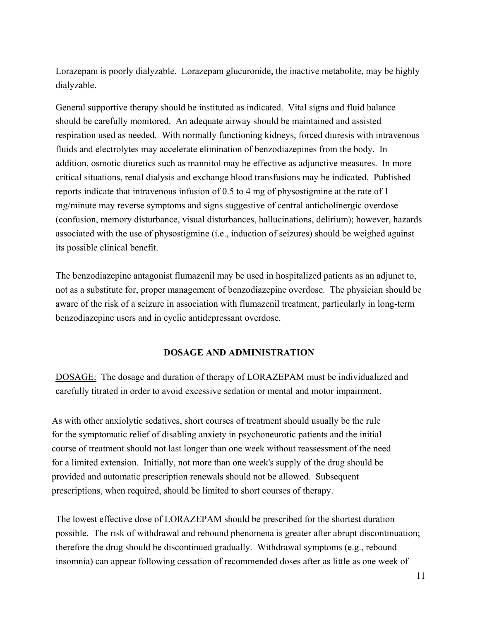Lorazepam is poorly dialyzable. Lorazepam glucuronide, the inactive metabolite, may be highly dialyzable.

General supportive therapy should be instituted as indicated. Vital signs and fluid balance should be carefully monitored. An adequate airway should be maintained and assisted respiration used as needed. With normally functioning kidneys, forced diuresis with intravenous fluids and electrolytes may accelerate elimination of benzodiazepines from the body. In addition, osmotic diuretics such as mannitol may be effective as adjunctive measures. In more critical situations, renal dialysis and exchange blood transfusions may be indicated. Published reports indicate that intravenous infusion of 0.5 to 4 mg of physostigmine at the rate of 1 mg/minute may reverse symptoms and signs suggestive of central anticholinergic overdose (confusion, memory disturbance, visual disturbances, hallucinations, delirium); however, hazards associated with the use of physostigmine (i.e., induction of seizures) should be weighed against its possible clinical benefit.

The benzodiazepine antagonist flumazenil may be used in hospitalized patients as an adjunct to, not as a substitute for, proper management of benzodiazepine overdose. The physician should be aware of the risk of a seizure in association with flumazenil treatment, particularly in long-term benzodiazepine users and in cyclic antidepressant overdose.

## **DOSAGE AND ADMINISTRATION**

DOSAGE: The dosage and duration of therapy of LORAZEPAM must be individualized and carefully titrated in order to avoid excessive sedation or mental and motor impairment.

As with other anxiolytic sedatives, short courses of treatment should usually be the rule for the symptomatic relief of disabling anxiety in psychoneurotic patients and the initial course of treatment should not last longer than one week without reassessment of the need for a limited extension. Initially, not more than one week's supply of the drug should be provided and automatic prescription renewals should not be allowed. Subsequent prescriptions, when required, should be limited to short courses of therapy.

The lowest effective dose of LORAZEPAM should be prescribed for the shortest duration possible. The risk of withdrawal and rebound phenomena is greater after abrupt discontinuation; therefore the drug should be discontinued gradually. Withdrawal symptoms (e.g., rebound insomnia) can appear following cessation of recommended doses after as little as one week of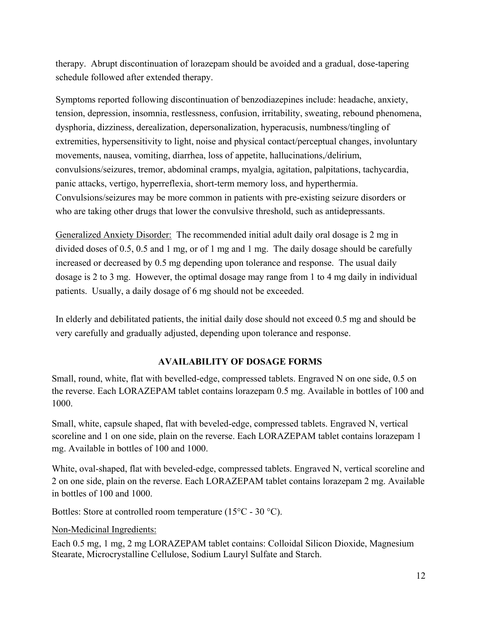therapy. Abrupt discontinuation of lorazepam should be avoided and a gradual, dose-tapering schedule followed after extended therapy.

Symptoms reported following discontinuation of benzodiazepines include: headache, anxiety, tension, depression, insomnia, restlessness, confusion, irritability, sweating, rebound phenomena, dysphoria, dizziness, derealization, depersonalization, hyperacusis, numbness/tingling of extremities, hypersensitivity to light, noise and physical contact/perceptual changes, involuntary movements, nausea, vomiting, diarrhea, loss of appetite, hallucinations,/delirium, convulsions/seizures, tremor, abdominal cramps, myalgia, agitation, palpitations, tachycardia, panic attacks, vertigo, hyperreflexia, short-term memory loss, and hyperthermia. Convulsions/seizures may be more common in patients with pre-existing seizure disorders or who are taking other drugs that lower the convulsive threshold, such as antidepressants.

Generalized Anxiety Disorder: The recommended initial adult daily oral dosage is 2 mg in divided doses of 0.5, 0.5 and 1 mg, or of 1 mg and 1 mg. The daily dosage should be carefully increased or decreased by 0.5 mg depending upon tolerance and response. The usual daily dosage is 2 to 3 mg. However, the optimal dosage may range from 1 to 4 mg daily in individual patients. Usually, a daily dosage of 6 mg should not be exceeded.

In elderly and debilitated patients, the initial daily dose should not exceed 0.5 mg and should be very carefully and gradually adjusted, depending upon tolerance and response.

## **AVAILABILITY OF DOSAGE FORMS**

Small, round, white, flat with bevelled-edge, compressed tablets. Engraved N on one side, 0.5 on the reverse. Each LORAZEPAM tablet contains lorazepam 0.5 mg. Available in bottles of 100 and 1000.

Small, white, capsule shaped, flat with beveled-edge, compressed tablets. Engraved N, vertical scoreline and 1 on one side, plain on the reverse. Each LORAZEPAM tablet contains lorazepam 1 mg. Available in bottles of 100 and 1000.

White, oval-shaped, flat with beveled-edge, compressed tablets. Engraved N, vertical scoreline and 2 on one side, plain on the reverse. Each LORAZEPAM tablet contains lorazepam 2 mg. Available in bottles of 100 and 1000.

Bottles: Store at controlled room temperature (15°C - 30 °C).

Non-Medicinal Ingredients:

Each 0.5 mg, 1 mg, 2 mg LORAZEPAM tablet contains: Colloidal Silicon Dioxide, Magnesium Stearate, Microcrystalline Cellulose, Sodium Lauryl Sulfate and Starch.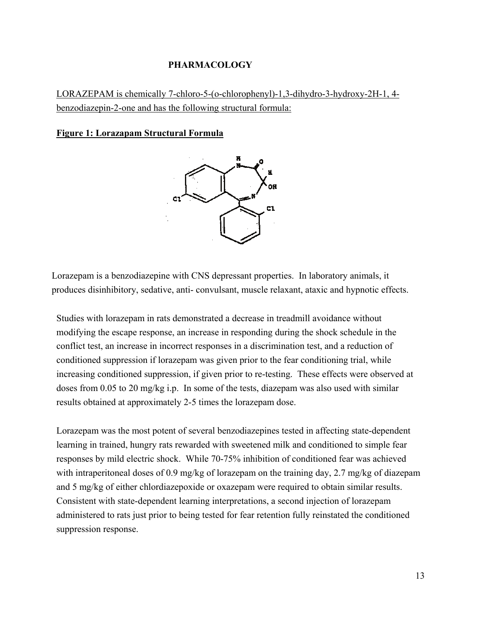### **PHARMACOLOGY**

LORAZEPAM is chemically 7-chloro-5-(o-chlorophenyl)-1,3-dihydro-3-hydroxy-2H-1, 4 benzodiazepin-2-one and has the following structural formula:

### **Figure 1: Lorazapam Structural Formula**



Lorazepam is a benzodiazepine with CNS depressant properties. In laboratory animals, it produces disinhibitory, sedative, anti- convulsant, muscle relaxant, ataxic and hypnotic effects.

Studies with lorazepam in rats demonstrated a decrease in treadmill avoidance without modifying the escape response, an increase in responding during the shock schedule in the conflict test, an increase in incorrect responses in a discrimination test, and a reduction of conditioned suppression if lorazepam was given prior to the fear conditioning trial, while increasing conditioned suppression, if given prior to re-testing. These effects were observed at doses from 0.05 to 20 mg/kg i.p. In some of the tests, diazepam was also used with similar results obtained at approximately 2-5 times the lorazepam dose.

Lorazepam was the most potent of several benzodiazepines tested in affecting state-dependent learning in trained, hungry rats rewarded with sweetened milk and conditioned to simple fear responses by mild electric shock. While 70-75% inhibition of conditioned fear was achieved with intraperitoneal doses of 0.9 mg/kg of lorazepam on the training day, 2.7 mg/kg of diazepam and 5 mg/kg of either chlordiazepoxide or oxazepam were required to obtain similar results. Consistent with state-dependent learning interpretations, a second injection of lorazepam administered to rats just prior to being tested for fear retention fully reinstated the conditioned suppression response.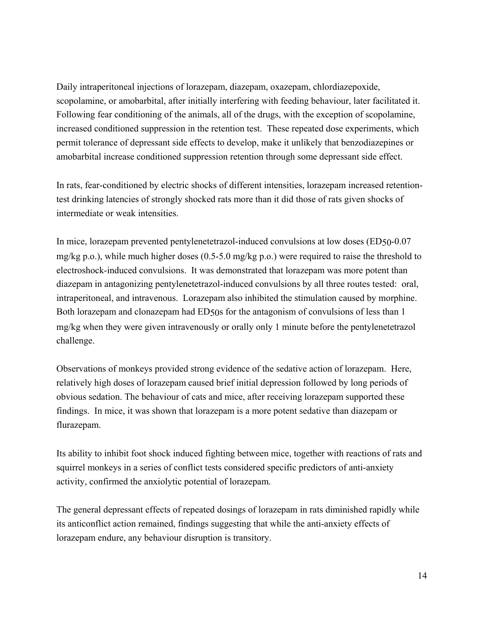Daily intraperitoneal injections of lorazepam, diazepam, oxazepam, chlordiazepoxide, scopolamine, or amobarbital, after initially interfering with feeding behaviour, later facilitated it. Following fear conditioning of the animals, all of the drugs, with the exception of scopolamine, increased conditioned suppression in the retention test. These repeated dose experiments, which permit tolerance of depressant side effects to develop, make it unlikely that benzodiazepines or amobarbital increase conditioned suppression retention through some depressant side effect.

In rats, fear-conditioned by electric shocks of different intensities, lorazepam increased retentiontest drinking latencies of strongly shocked rats more than it did those of rats given shocks of intermediate or weak intensities.

In mice, lorazepam prevented pentylenetetrazol-induced convulsions at low doses (ED50-0.07 mg/kg p.o.), while much higher doses (0.5-5.0 mg/kg p.o.) were required to raise the threshold to electroshock-induced convulsions. It was demonstrated that lorazepam was more potent than diazepam in antagonizing pentylenetetrazol-induced convulsions by all three routes tested: oral, intraperitoneal, and intravenous. Lorazepam also inhibited the stimulation caused by morphine. Both lorazepam and clonazepam had ED50s for the antagonism of convulsions of less than 1 mg/kg when they were given intravenously or orally only 1 minute before the pentylenetetrazol challenge.

Observations of monkeys provided strong evidence of the sedative action of lorazepam. Here, relatively high doses of lorazepam caused brief initial depression followed by long periods of obvious sedation. The behaviour of cats and mice, after receiving lorazepam supported these findings. In mice, it was shown that lorazepam is a more potent sedative than diazepam or flurazepam.

Its ability to inhibit foot shock induced fighting between mice, together with reactions of rats and squirrel monkeys in a series of conflict tests considered specific predictors of anti-anxiety activity, confirmed the anxiolytic potential of lorazepam.

The general depressant effects of repeated dosings of lorazepam in rats diminished rapidly while its anticonflict action remained, findings suggesting that while the anti-anxiety effects of lorazepam endure, any behaviour disruption is transitory.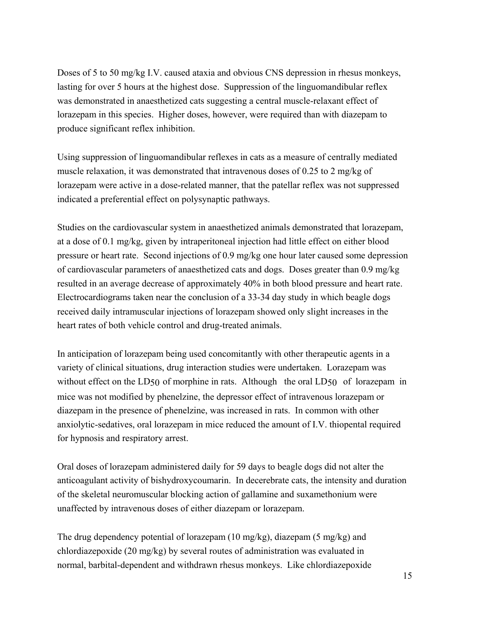Doses of 5 to 50 mg/kg I.V. caused ataxia and obvious CNS depression in rhesus monkeys, lasting for over 5 hours at the highest dose. Suppression of the linguomandibular reflex was demonstrated in anaesthetized cats suggesting a central muscle-relaxant effect of lorazepam in this species. Higher doses, however, were required than with diazepam to produce significant reflex inhibition.

Using suppression of linguomandibular reflexes in cats as a measure of centrally mediated muscle relaxation, it was demonstrated that intravenous doses of 0.25 to 2 mg/kg of lorazepam were active in a dose-related manner, that the patellar reflex was not suppressed indicated a preferential effect on polysynaptic pathways.

Studies on the cardiovascular system in anaesthetized animals demonstrated that lorazepam, at a dose of 0.1 mg/kg, given by intraperitoneal injection had little effect on either blood pressure or heart rate. Second injections of 0.9 mg/kg one hour later caused some depression of cardiovascular parameters of anaesthetized cats and dogs. Doses greater than 0.9 mg/kg resulted in an average decrease of approximately 40% in both blood pressure and heart rate. Electrocardiograms taken near the conclusion of a 33-34 day study in which beagle dogs received daily intramuscular injections of lorazepam showed only slight increases in the heart rates of both vehicle control and drug-treated animals.

In anticipation of lorazepam being used concomitantly with other therapeutic agents in a variety of clinical situations, drug interaction studies were undertaken. Lorazepam was without effect on the LD50 of morphine in rats. Although the oral LD50 of lorazepam in mice was not modified by phenelzine, the depressor effect of intravenous lorazepam or diazepam in the presence of phenelzine, was increased in rats. In common with other anxiolytic-sedatives, oral lorazepam in mice reduced the amount of I.V. thiopental required for hypnosis and respiratory arrest.

Oral doses of lorazepam administered daily for 59 days to beagle dogs did not alter the anticoagulant activity of bishydroxycoumarin. In decerebrate cats, the intensity and duration of the skeletal neuromuscular blocking action of gallamine and suxamethonium were unaffected by intravenous doses of either diazepam or lorazepam.

The drug dependency potential of lorazepam (10 mg/kg), diazepam (5 mg/kg) and chlordiazepoxide (20 mg/kg) by several routes of administration was evaluated in normal, barbital-dependent and withdrawn rhesus monkeys. Like chlordiazepoxide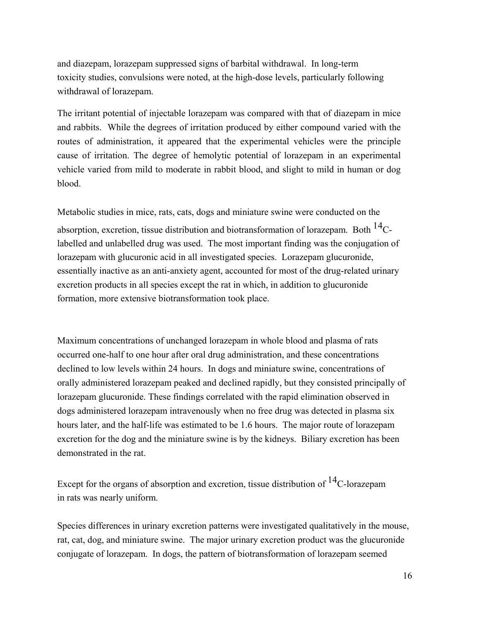and diazepam, lorazepam suppressed signs of barbital withdrawal. In long-term toxicity studies, convulsions were noted, at the high-dose levels, particularly following withdrawal of lorazepam.

The irritant potential of injectable lorazepam was compared with that of diazepam in mice and rabbits. While the degrees of irritation produced by either compound varied with the routes of administration, it appeared that the experimental vehicles were the principle cause of irritation. The degree of hemolytic potential of lorazepam in an experimental vehicle varied from mild to moderate in rabbit blood, and slight to mild in human or dog blood.

Metabolic studies in mice, rats, cats, dogs and miniature swine were conducted on the

absorption, excretion, tissue distribution and biotransformation of lorazepam. Both  $^{14}$ Clabelled and unlabelled drug was used. The most important finding was the conjugation of lorazepam with glucuronic acid in all investigated species. Lorazepam glucuronide, essentially inactive as an anti-anxiety agent, accounted for most of the drug-related urinary excretion products in all species except the rat in which, in addition to glucuronide formation, more extensive biotransformation took place.

Maximum concentrations of unchanged lorazepam in whole blood and plasma of rats occurred one-half to one hour after oral drug administration, and these concentrations declined to low levels within 24 hours. In dogs and miniature swine, concentrations of orally administered lorazepam peaked and declined rapidly, but they consisted principally of lorazepam glucuronide. These findings correlated with the rapid elimination observed in dogs administered lorazepam intravenously when no free drug was detected in plasma six hours later, and the half-life was estimated to be 1.6 hours. The major route of lorazepam excretion for the dog and the miniature swine is by the kidneys. Biliary excretion has been demonstrated in the rat.

Except for the organs of absorption and excretion, tissue distribution of  $^{14}$ C-lorazepam in rats was nearly uniform.

Species differences in urinary excretion patterns were investigated qualitatively in the mouse, rat, cat, dog, and miniature swine. The major urinary excretion product was the glucuronide conjugate of lorazepam. In dogs, the pattern of biotransformation of lorazepam seemed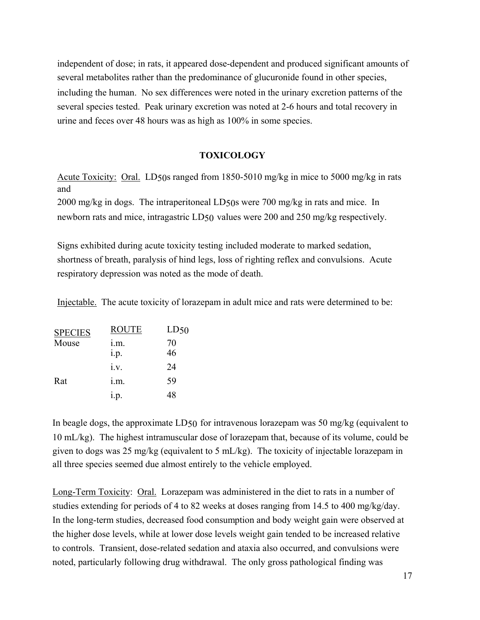independent of dose; in rats, it appeared dose-dependent and produced significant amounts of several metabolites rather than the predominance of glucuronide found in other species, including the human. No sex differences were noted in the urinary excretion patterns of the several species tested. Peak urinary excretion was noted at 2-6 hours and total recovery in urine and feces over 48 hours was as high as 100% in some species.

### **TOXICOLOGY**

Acute Toxicity: Oral. LD50s ranged from 1850-5010 mg/kg in mice to 5000 mg/kg in rats and

2000 mg/kg in dogs. The intraperitoneal LD50s were 700 mg/kg in rats and mice. In newborn rats and mice, intragastric LD50 values were 200 and 250 mg/kg respectively.

Signs exhibited during acute toxicity testing included moderate to marked sedation, shortness of breath, paralysis of hind legs, loss of righting reflex and convulsions. Acute respiratory depression was noted as the mode of death.

Injectable. The acute toxicity of lorazepam in adult mice and rats were determined to be:

| <b>SPECIES</b> | <b>ROUTE</b> | LD50 |
|----------------|--------------|------|
| Mouse          | 1.m.         | 70   |
|                | i.p.         | 46   |
|                | i.v.         | 24   |
| Rat            | i.m.         | 59   |
|                | 1.p.         | 48   |

In beagle dogs, the approximate LD50 for intravenous lorazepam was 50 mg/kg (equivalent to 10 mL/kg). The highest intramuscular dose of lorazepam that, because of its volume, could be given to dogs was 25 mg/kg (equivalent to 5 mL/kg). The toxicity of injectable lorazepam in all three species seemed due almost entirely to the vehicle employed.

Long-Term Toxicity: Oral. Lorazepam was administered in the diet to rats in a number of studies extending for periods of 4 to 82 weeks at doses ranging from 14.5 to 400 mg/kg/day. In the long-term studies, decreased food consumption and body weight gain were observed at the higher dose levels, while at lower dose levels weight gain tended to be increased relative to controls. Transient, dose-related sedation and ataxia also occurred, and convulsions were noted, particularly following drug withdrawal. The only gross pathological finding was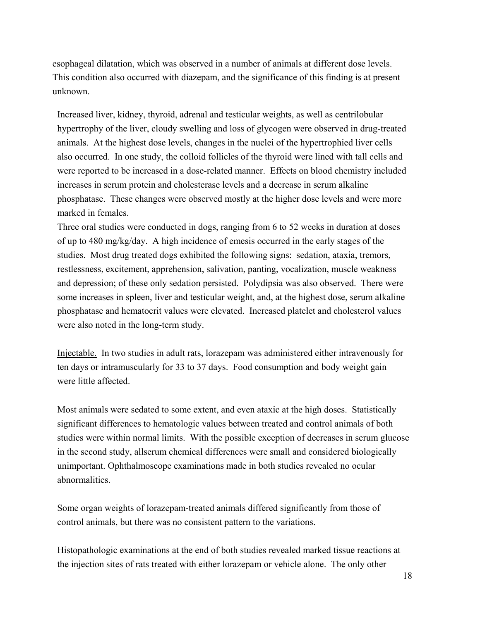esophageal dilatation, which was observed in a number of animals at different dose levels. This condition also occurred with diazepam, and the significance of this finding is at present unknown.

Increased liver, kidney, thyroid, adrenal and testicular weights, as well as centrilobular hypertrophy of the liver, cloudy swelling and loss of glycogen were observed in drug-treated animals. At the highest dose levels, changes in the nuclei of the hypertrophied liver cells also occurred. In one study, the colloid follicles of the thyroid were lined with tall cells and were reported to be increased in a dose-related manner. Effects on blood chemistry included increases in serum protein and cholesterase levels and a decrease in serum alkaline phosphatase. These changes were observed mostly at the higher dose levels and were more marked in females.

Three oral studies were conducted in dogs, ranging from 6 to 52 weeks in duration at doses of up to 480 mg/kg/day. A high incidence of emesis occurred in the early stages of the studies. Most drug treated dogs exhibited the following signs: sedation, ataxia, tremors, restlessness, excitement, apprehension, salivation, panting, vocalization, muscle weakness and depression; of these only sedation persisted. Polydipsia was also observed. There were some increases in spleen, liver and testicular weight, and, at the highest dose, serum alkaline phosphatase and hematocrit values were elevated. Increased platelet and cholesterol values were also noted in the long-term study.

Injectable. In two studies in adult rats, lorazepam was administered either intravenously for ten days or intramuscularly for 33 to 37 days. Food consumption and body weight gain were little affected.

Most animals were sedated to some extent, and even ataxic at the high doses. Statistically significant differences to hematologic values between treated and control animals of both studies were within normal limits. With the possible exception of decreases in serum glucose in the second study, allserum chemical differences were small and considered biologically unimportant. Ophthalmoscope examinations made in both studies revealed no ocular abnormalities.

Some organ weights of lorazepam-treated animals differed significantly from those of control animals, but there was no consistent pattern to the variations.

Histopathologic examinations at the end of both studies revealed marked tissue reactions at the injection sites of rats treated with either lorazepam or vehicle alone. The only other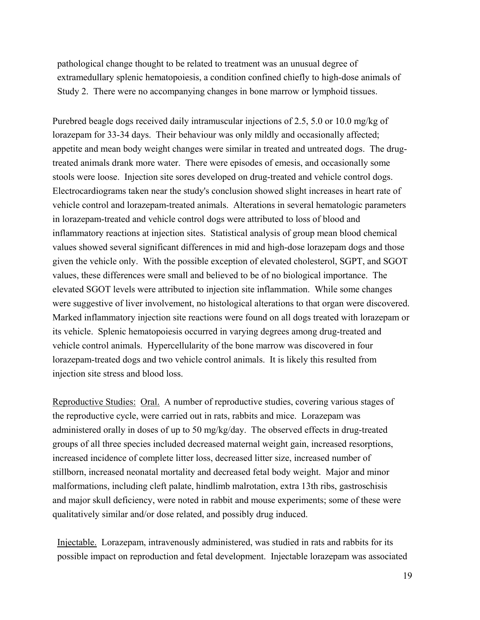pathological change thought to be related to treatment was an unusual degree of extramedullary splenic hematopoiesis, a condition confined chiefly to high-dose animals of Study 2. There were no accompanying changes in bone marrow or lymphoid tissues.

Purebred beagle dogs received daily intramuscular injections of 2.5, 5.0 or 10.0 mg/kg of lorazepam for 33-34 days. Their behaviour was only mildly and occasionally affected; appetite and mean body weight changes were similar in treated and untreated dogs. The drugtreated animals drank more water. There were episodes of emesis, and occasionally some stools were loose. Injection site sores developed on drug-treated and vehicle control dogs. Electrocardiograms taken near the study's conclusion showed slight increases in heart rate of vehicle control and lorazepam-treated animals. Alterations in several hematologic parameters in lorazepam-treated and vehicle control dogs were attributed to loss of blood and inflammatory reactions at injection sites. Statistical analysis of group mean blood chemical values showed several significant differences in mid and high-dose lorazepam dogs and those given the vehicle only. With the possible exception of elevated cholesterol, SGPT, and SGOT values, these differences were small and believed to be of no biological importance. The elevated SGOT levels were attributed to injection site inflammation. While some changes were suggestive of liver involvement, no histological alterations to that organ were discovered. Marked inflammatory injection site reactions were found on all dogs treated with lorazepam or its vehicle. Splenic hematopoiesis occurred in varying degrees among drug-treated and vehicle control animals. Hypercellularity of the bone marrow was discovered in four lorazepam-treated dogs and two vehicle control animals. It is likely this resulted from injection site stress and blood loss.

Reproductive Studies: Oral. A number of reproductive studies, covering various stages of the reproductive cycle, were carried out in rats, rabbits and mice. Lorazepam was administered orally in doses of up to 50 mg/kg/day. The observed effects in drug-treated groups of all three species included decreased maternal weight gain, increased resorptions, increased incidence of complete litter loss, decreased litter size, increased number of stillborn, increased neonatal mortality and decreased fetal body weight. Major and minor malformations, including cleft palate, hindlimb malrotation, extra 13th ribs, gastroschisis and major skull deficiency, were noted in rabbit and mouse experiments; some of these were qualitatively similar and/or dose related, and possibly drug induced.

Injectable. Lorazepam, intravenously administered, was studied in rats and rabbits for its possible impact on reproduction and fetal development. Injectable lorazepam was associated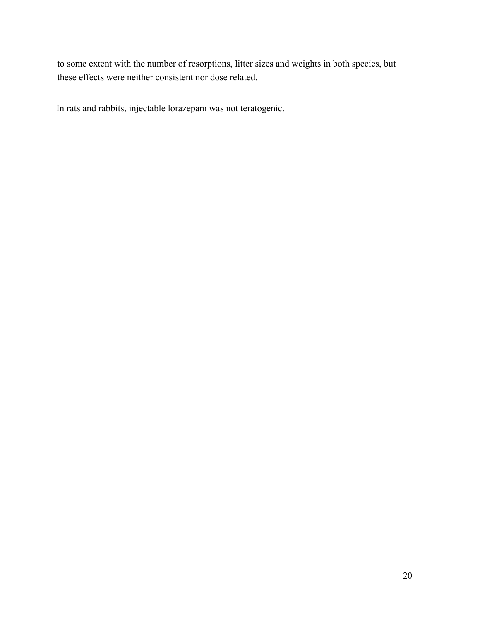to some extent with the number of resorptions, litter sizes and weights in both species, but these effects were neither consistent nor dose related.

In rats and rabbits, injectable lorazepam was not teratogenic.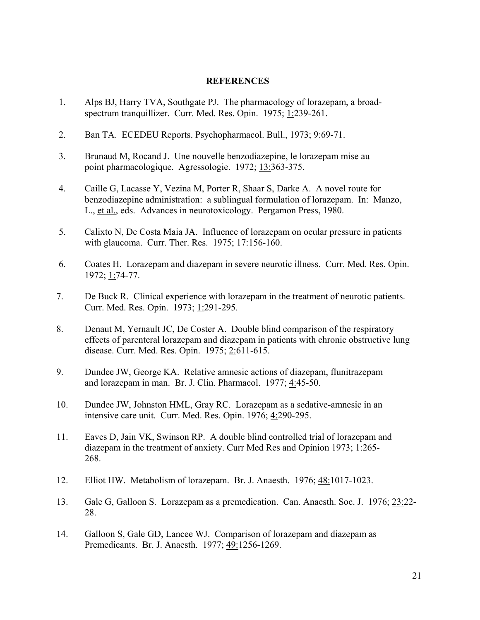### **REFERENCES**

- 1. Alps BJ, Harry TVA, Southgate PJ. The pharmacology of lorazepam, a broadspectrum tranquillizer. Curr. Med. Res. Opin. 1975; 1:239-261.
- 2. Ban TA. ECEDEU Reports. Psychopharmacol. Bull., 1973; 9:69-71.
- 3. Brunaud M, Rocand J. Une nouvelle benzodiazepine, le lorazepam mise au point pharmacologique. Agressologie. 1972; 13:363-375.
- 4. Caille G, Lacasse Y, Vezina M, Porter R, Shaar S, Darke A. A novel route for benzodiazepine administration: a sublingual formulation of lorazepam. In: Manzo, L., et al., eds. Advances in neurotoxicology. Pergamon Press, 1980.
- 5. Calixto N, De Costa Maia JA. Influence of lorazepam on ocular pressure in patients with glaucoma. Curr. Ther. Res. 1975; 17:156-160.
- 6. Coates H. Lorazepam and diazepam in severe neurotic illness. Curr. Med. Res. Opin. 1972; 1:74-77.
- 7. De Buck R. Clinical experience with lorazepam in the treatment of neurotic patients. Curr. Med. Res. Opin. 1973; 1:291-295.
- 8. Denaut M, Yernault JC, De Coster A. Double blind comparison of the respiratory effects of parenteral lorazepam and diazepam in patients with chronic obstructive lung disease. Curr. Med. Res. Opin. 1975; 2:611-615.
- 9. Dundee JW, George KA. Relative amnesic actions of diazepam, flunitrazepam and lorazepam in man. Br. J. Clin. Pharmacol. 1977; 4:45-50.
- 10. Dundee JW, Johnston HML, Gray RC. Lorazepam as a sedative-amnesic in an intensive care unit. Curr. Med. Res. Opin. 1976; 4:290-295.
- 11. Eaves D, Jain VK, Swinson RP. A double blind controlled trial of lorazepam and diazepam in the treatment of anxiety. Curr Med Res and Opinion 1973; 1:265- 268.
- 12. Elliot HW. Metabolism of lorazepam. Br. J. Anaesth. 1976; 48:1017-1023.
- 13. Gale G, Galloon S. Lorazepam as a premedication. Can. Anaesth. Soc. J. 1976; 23:22- 28.
- 14. Galloon S, Gale GD, Lancee WJ. Comparison of lorazepam and diazepam as Premedicants. Br. J. Anaesth. 1977; 49:1256-1269.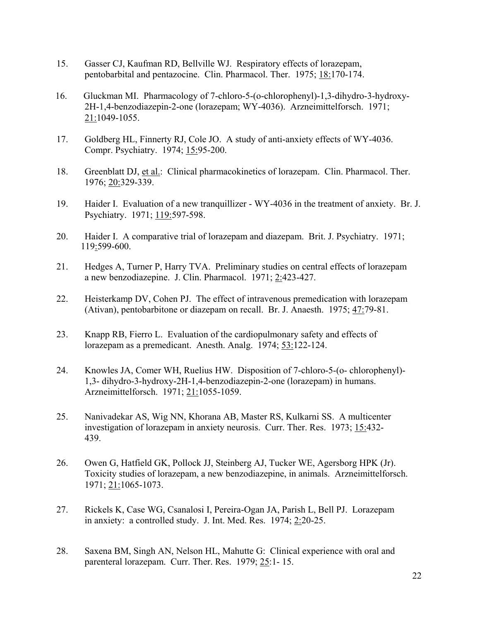- 15. Gasser CJ, Kaufman RD, Bellville WJ. Respiratory effects of lorazepam, pentobarbital and pentazocine. Clin. Pharmacol. Ther. 1975; 18:170-174.
- 16. Gluckman MI. Pharmacology of 7-chloro-5-(o-chlorophenyl)-1,3-dihydro-3-hydroxy-2H-1,4-benzodiazepin-2-one (lorazepam; WY-4036). Arzneimittelforsch. 1971; 21:1049-1055.
- 17. Goldberg HL, Finnerty RJ, Cole JO. A study of anti-anxiety effects of WY-4036. Compr. Psychiatry. 1974; 15:95-200.
- 18. Greenblatt DJ, et al.: Clinical pharmacokinetics of lorazepam. Clin. Pharmacol. Ther. 1976; 20:329-339.
- 19. Haider I. Evaluation of a new tranquillizer WY-4036 in the treatment of anxiety. Br. J. Psychiatry. 1971; 119:597-598.
- 20. Haider I. A comparative trial of lorazepam and diazepam. Brit. J. Psychiatry. 1971; 119:599-600.
- 21. Hedges A, Turner P, Harry TVA. Preliminary studies on central effects of lorazepam a new benzodiazepine. J. Clin. Pharmacol. 1971; 2:423-427.
- 22. Heisterkamp DV, Cohen PJ. The effect of intravenous premedication with lorazepam (Ativan), pentobarbitone or diazepam on recall. Br. J. Anaesth. 1975; 47:79-81.
- 23. Knapp RB, Fierro L. Evaluation of the cardiopulmonary safety and effects of lorazepam as a premedicant. Anesth. Analg. 1974; 53:122-124.
- 24. Knowles JA, Comer WH, Ruelius HW. Disposition of 7-chloro-5-(o- chlorophenyl)- 1,3- dihydro-3-hydroxy-2H-1,4-benzodiazepin-2-one (lorazepam) in humans. Arzneimittelforsch. 1971; 21:1055-1059.
- 25. Nanivadekar AS, Wig NN, Khorana AB, Master RS, Kulkarni SS. A multicenter investigation of lorazepam in anxiety neurosis. Curr. Ther. Res. 1973; 15:432- 439.
- 26. Owen G, Hatfield GK, Pollock JJ, Steinberg AJ, Tucker WE, Agersborg HPK (Jr). Toxicity studies of lorazepam, a new benzodiazepine, in animals. Arzneimittelforsch. 1971; 21:1065-1073.
- 27. Rickels K, Case WG, Csanalosi I, Pereira-Ogan JA, Parish L, Bell PJ. Lorazepam in anxiety: a controlled study. J. Int. Med. Res. 1974; 2:20-25.
- 28. Saxena BM, Singh AN, Nelson HL, Mahutte G: Clinical experience with oral and parenteral lorazepam. Curr. Ther. Res. 1979; 25:1- 15.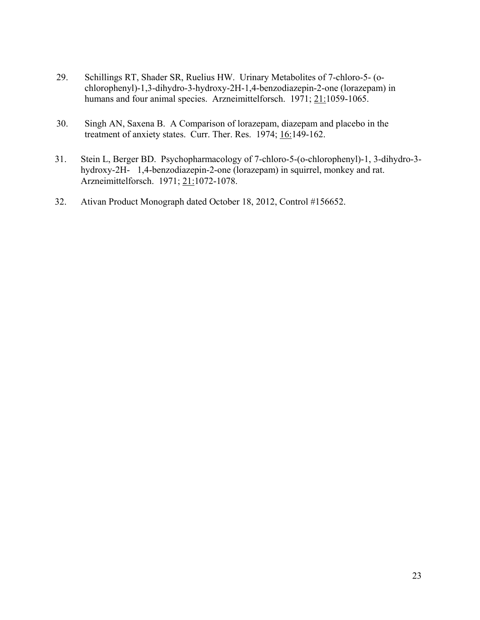- 29. Schillings RT, Shader SR, Ruelius HW. Urinary Metabolites of 7-chloro-5- (ochlorophenyl)-1,3-dihydro-3-hydroxy-2H-1,4-benzodiazepin-2-one (lorazepam) in humans and four animal species. Arzneimittelforsch. 1971; 21:1059-1065.
- 30. Singh AN, Saxena B. A Comparison of lorazepam, diazepam and placebo in the treatment of anxiety states. Curr. Ther. Res. 1974; 16:149-162.
- 31. Stein L, Berger BD. Psychopharmacology of 7-chloro-5-(o-chlorophenyl)-1, 3-dihydro-3 hydroxy-2H- 1,4-benzodiazepin-2-one (lorazepam) in squirrel, monkey and rat. Arzneimittelforsch. 1971; 21:1072-1078.
- 32. Ativan Product Monograph dated October 18, 2012, Control #156652.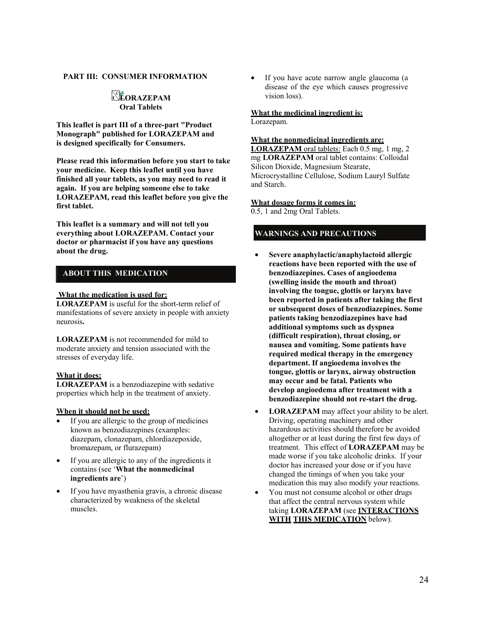#### **PART III: CONSUMER INFORMATION**

### **LORAZEPAM Oral Tablets**

**This leaflet is part III of a three-part "Product Monograph" published for LORAZEPAM and is designed specifically for Consumers.**

**Please read this information before you start to take your medicine. Keep this leaflet until you have finished all your tablets, as you may need to read it again. If you are helping someone else to take LORAZEPAM, read this leaflet before you give the first tablet.**

**This leaflet is a summary and will not tell you everything about LORAZEPAM. Contact your doctor or pharmacist if you have any questions about the drug.**

### **ABOUT THIS MEDICATION**

#### **What the medication is used for:**

**LORAZEPAM** is useful for the short-term relief of manifestations of severe anxiety in people with anxiety neurosis**.**

**LORAZEPAM** is not recommended for mild to moderate anxiety and tension associated with the stresses of everyday life.

#### **What it does:**

**LORAZEPAM** is a benzodiazepine with sedative properties which help in the treatment of anxiety.

#### **When it should not be used:**

- If you are allergic to the group of medicines known as benzodiazepines (examples: diazepam, clonazepam, chlordiazepoxide, bromazepam, or flurazepam)
- If you are allergic to any of the ingredients it contains (see '**What the nonmedicinal ingredients are**')
- If you have myasthenia gravis, a chronic disease characterized by weakness of the skeletal muscles.

• If you have acute narrow angle glaucoma (a disease of the eye which causes progressive vision loss).

#### **What the medicinal ingredient is:**

Lorazepam.

#### **What the nonmedicinal ingredients are:**

**LORAZEPAM** oral tablets: Each 0.5 mg, 1 mg, 2 mg **LORAZEPAM** oral tablet contains: Colloidal Silicon Dioxide, Magnesium Stearate, Microcrystalline Cellulose, Sodium Lauryl Sulfate and Starch.

#### **What dosage forms it comes in:**

0.5, 1 and 2mg Oral Tablets.

### **WARNINGS AND PRECAUTIONS**

- **Severe anaphylactic/anaphylactoid allergic reactions have been reported with the use of benzodiazepines. Cases of angioedema (swelling inside the mouth and throat) involving the tongue, glottis or larynx have been reported in patients after taking the first or subsequent doses of benzodiazepines. Some patients taking benzodiazepines have had additional symptoms such as dyspnea (difficult respiration), throat closing, or nausea and vomiting. Some patients have required medical therapy in the emergency department. If angioedema involves the tongue, glottis or larynx, airway obstruction may occur and be fatal. Patients who develop angioedema after treatment with a benzodiazepine should not re-start the drug.**
- **LORAZEPAM** may affect your ability to be alert. Driving, operating machinery and other hazardous activities should therefore be avoided altogether or at least during the first few days of treatment. This effect of **LORAZEPAM** may be made worse if you take alcoholic drinks. If your doctor has increased your dose or if you have changed the timings of when you take your medication this may also modify your reactions.
- You must not consume alcohol or other drugs that affect the central nervous system while taking **LORAZEPAM** (see **INTERACTIONS WITH THIS MEDICATION** below).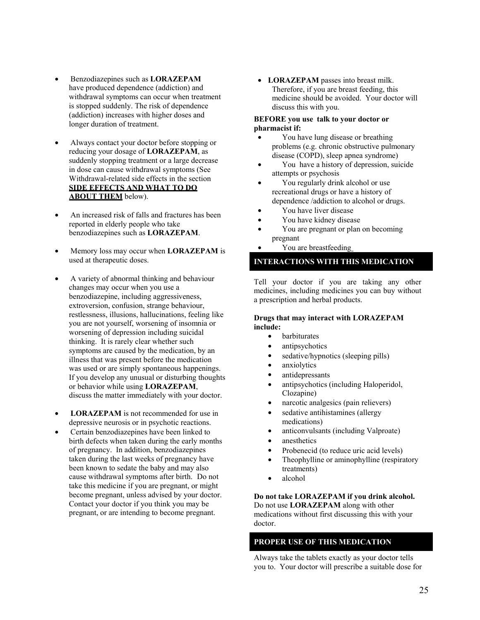- Benzodiazepines such as **LORAZEPAM**  have produced dependence (addiction) and withdrawal symptoms can occur when treatment is stopped suddenly. The risk of dependence (addiction) increases with higher doses and longer duration of treatment.
- Always contact your doctor before stopping or reducing your dosage of **LORAZEPAM**, as suddenly stopping treatment or a large decrease in dose can cause withdrawal symptoms (See Withdrawal-related side effects in the section **SIDE EFFECTS AND WHAT TO DO ABOUT THEM** below).
- An increased risk of falls and fractures has been reported in elderly people who take benzodiazepines such as **LORAZEPAM**.
- Memory loss may occur when **LORAZEPAM** is used at therapeutic doses.
- A variety of abnormal thinking and behaviour changes may occur when you use a benzodiazepine, including aggressiveness, extroversion, confusion, strange behaviour, restlessness, illusions, hallucinations, feeling like you are not yourself, worsening of insomnia or worsening of depression including suicidal thinking. It is rarely clear whether such symptoms are caused by the medication, by an illness that was present before the medication was used or are simply spontaneous happenings. If you develop any unusual or disturbing thoughts or behavior while using **LORAZEPAM**, discuss the matter immediately with your doctor.
- **LORAZEPAM** is not recommended for use in depressive neurosis or in psychotic reactions.
- Certain benzodiazepines have been linked to birth defects when taken during the early months of pregnancy. In addition, benzodiazepines taken during the last weeks of pregnancy have been known to sedate the baby and may also cause withdrawal symptoms after birth. Do not take this medicine if you are pregnant, or might become pregnant, unless advised by your doctor. Contact your doctor if you think you may be pregnant, or are intending to become pregnant.

• **LORAZEPAM** passes into breast milk. Therefore, if you are breast feeding, this medicine should be avoided. Your doctor will discuss this with you.

#### **BEFORE you use talk to your doctor or pharmacist if:**

- You have lung disease or breathing problems (e.g. chronic obstructive pulmonary disease (COPD), sleep apnea syndrome)
- You have a history of depression, suicide attempts or psychosis
- You regularly drink alcohol or use recreational drugs or have a history of dependence /addiction to alcohol or drugs.
- You have liver disease
- You have kidney disease
- You are pregnant or plan on becoming pregnant
	- You are breastfeeding

#### **INTERACTIONS WITH THIS MEDICATION**

Tell your doctor if you are taking any other medicines, including medicines you can buy without a prescription and herbal products.

#### **Drugs that may interact with LORAZEPAM include:**

- barbiturates
- antipsychotics
- sedative/hypnotics (sleeping pills)
- anxiolytics
- antidepressants
- antipsychotics (including Haloperidol, Clozapine)
- narcotic analgesics (pain relievers)
- sedative antihistamines (allergy medications)
- anticonvulsants (including Valproate)
- anesthetics
- Probenecid (to reduce uric acid levels)
- Theophylline or aminophylline (respiratory treatments)
- alcohol

**Do not take LORAZEPAM if you drink alcohol.** Do not use **LORAZEPAM** along with other

medications without first discussing this with your doctor.

### **PROPER USE OF THIS MEDICATION**

Always take the tablets exactly as your doctor tells you to. Your doctor will prescribe a suitable dose for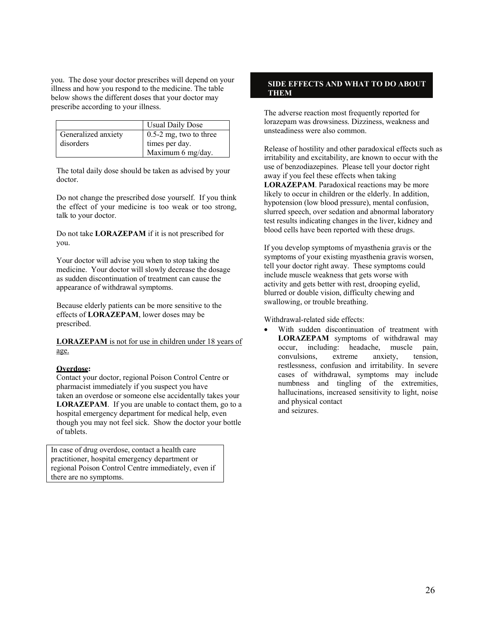you. The dose your doctor prescribes will depend on your illness and how you respond to the medicine. The table below shows the different doses that your doctor may prescribe according to your illness.

|                     | <b>Usual Daily Dose</b>  |
|---------------------|--------------------------|
| Generalized anxiety | $0.5-2$ mg, two to three |
| disorders           | times per day.           |
|                     | Maximum 6 mg/day.        |

The total daily dose should be taken as advised by your doctor.

Do not change the prescribed dose yourself. If you think the effect of your medicine is too weak or too strong, talk to your doctor.

Do not take **LORAZEPAM** if it is not prescribed for you.

Your doctor will advise you when to stop taking the medicine. Your doctor will slowly decrease the dosage as sudden discontinuation of treatment can cause the appearance of withdrawal symptoms.

Because elderly patients can be more sensitive to the effects of **LORAZEPAM**, lower doses may be prescribed.

**LORAZEPAM** is not for use in children under 18 years of age.

#### **Overdose:**

Contact your doctor, regional Poison Control Centre or pharmacist immediately if you suspect you have taken an overdose or someone else accidentally takes your **LORAZEPAM**. If you are unable to contact them, go to a hospital emergency department for medical help, even though you may not feel sick. Show the doctor your bottle of tablets.

In case of drug overdose, contact a health care practitioner, hospital emergency department or regional Poison Control Centre immediately, even if there are no symptoms.

#### **SIDE EFFECTS AND WHAT TO DO ABOUT THEM**

The adverse reaction most frequently reported for lorazepam was drowsiness. Dizziness, weakness and unsteadiness were also common.

Release of hostility and other paradoxical effects such as irritability and excitability, are known to occur with the use of benzodiazepines. Please tell your doctor right away if you feel these effects when taking **LORAZEPAM**. Paradoxical reactions may be more likely to occur in children or the elderly. In addition, hypotension (low blood pressure), mental confusion, slurred speech, over sedation and abnormal laboratory test results indicating changes in the liver, kidney and blood cells have been reported with these drugs.

If you develop symptoms of myasthenia gravis or the symptoms of your existing myasthenia gravis worsen, tell your doctor right away. These symptoms could include muscle weakness that gets worse with activity and gets better with rest, drooping eyelid, blurred or double vision, difficulty chewing and swallowing, or trouble breathing.

Withdrawal-related side effects:

With sudden discontinuation of treatment with **LORAZEPAM** symptoms of withdrawal may occur, including: headache, muscle pain, convulsions, extreme anxiety, tension, restlessness, confusion and irritability. In severe cases of withdrawal, symptoms may include numbness and tingling of the extremities, hallucinations, increased sensitivity to light, noise and physical contact and seizures.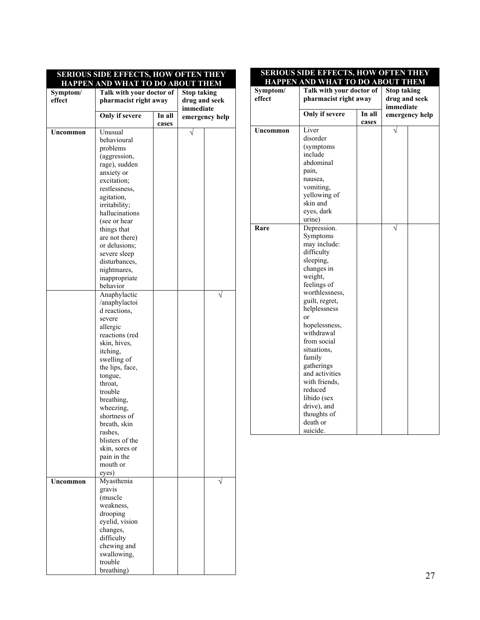| <b>SERIOUS SIDE EFFECTS, HOW OFTEN THEY</b><br>HAPPEN AND WHAT TO DO ABOUT THEM |                          |        |                    |                |
|---------------------------------------------------------------------------------|--------------------------|--------|--------------------|----------------|
| Symptom/                                                                        | Talk with your doctor of |        | <b>Stop taking</b> |                |
| effect                                                                          | pharmacist right away    |        | drug and seek      |                |
|                                                                                 |                          |        | immediate          |                |
|                                                                                 | Only if severe           | In all |                    |                |
|                                                                                 |                          | cases  |                    | emergency help |
| Uncommon                                                                        | Unusual                  |        |                    |                |
|                                                                                 | behavioural              |        |                    |                |
|                                                                                 |                          |        |                    |                |
|                                                                                 | problems                 |        |                    |                |
|                                                                                 | (aggression,             |        |                    |                |
|                                                                                 | rage), sudden            |        |                    |                |
|                                                                                 | anxiety or               |        |                    |                |
|                                                                                 | excitation:              |        |                    |                |
|                                                                                 | restlessness,            |        |                    |                |
|                                                                                 | agitation,               |        |                    |                |
|                                                                                 | irritability;            |        |                    |                |
|                                                                                 | hallucinations           |        |                    |                |
|                                                                                 | (see or hear             |        |                    |                |
|                                                                                 | things that              |        |                    |                |
|                                                                                 | are not there)           |        |                    |                |
|                                                                                 | or delusions;            |        |                    |                |
|                                                                                 | severe sleep             |        |                    |                |
|                                                                                 | disturbances.            |        |                    |                |
|                                                                                 | nightmares,              |        |                    |                |
|                                                                                 | inappropriate            |        |                    |                |
|                                                                                 | behavior                 |        |                    |                |
|                                                                                 | Anaphylactic             |        |                    |                |
|                                                                                 | /anaphylactoi            |        |                    |                |
|                                                                                 | d reactions,             |        |                    |                |
|                                                                                 | severe                   |        |                    |                |
|                                                                                 | allergic                 |        |                    |                |
|                                                                                 | reactions (red           |        |                    |                |
|                                                                                 | skin, hives,             |        |                    |                |
|                                                                                 | itching,                 |        |                    |                |
|                                                                                 | swelling of              |        |                    |                |
|                                                                                 | the lips, face,          |        |                    |                |
|                                                                                 | tongue,                  |        |                    |                |
|                                                                                 | throat.                  |        |                    |                |
|                                                                                 | trouble                  |        |                    |                |
|                                                                                 | breathing,               |        |                    |                |
|                                                                                 | wheezing,                |        |                    |                |
|                                                                                 | shortness of             |        |                    |                |
|                                                                                 | breath, skin             |        |                    |                |
|                                                                                 | rashes,                  |        |                    |                |
|                                                                                 | blisters of the          |        |                    |                |
|                                                                                 | skin, sores or           |        |                    |                |
|                                                                                 | pain in the              |        |                    |                |
|                                                                                 | mouth or                 |        |                    |                |
|                                                                                 | eves)                    |        |                    |                |
|                                                                                 |                          |        |                    |                |
| Uncommon                                                                        | Myasthenia               |        |                    |                |
|                                                                                 | gravis                   |        |                    |                |
|                                                                                 | (muscle                  |        |                    |                |
|                                                                                 | weakness,                |        |                    |                |
|                                                                                 | drooping                 |        |                    |                |
|                                                                                 | eyelid, vision           |        |                    |                |
|                                                                                 | changes,                 |        |                    |                |
|                                                                                 | difficulty               |        |                    |                |
|                                                                                 | chewing and              |        |                    |                |
|                                                                                 | swallowing,              |        |                    |                |
|                                                                                 | trouble                  |        |                    |                |
|                                                                                 | breathing)               |        |                    |                |

#### **SERIOUS SIDE EFFECTS, HOW OFTEN THEY HAPPEN AND WHAT TO DO ABOUT THEM**

| effect<br>immediate<br>Only if severe<br>In all<br>emergency help<br>cases<br>Liver<br>Uncommon<br>disorder<br>(symptoms<br>include<br>abdominal<br>pain,<br>nausea,<br>vomiting,<br>yellowing of<br>skin and<br>eyes, dark<br>urine)<br>Depression.<br>Rare<br>Symptoms<br>may include:<br>difficulty<br>sleeping,<br>changes in<br>weight, | Symptom/ | Talk with your doctor of |  | <b>Stop taking</b> |  |
|----------------------------------------------------------------------------------------------------------------------------------------------------------------------------------------------------------------------------------------------------------------------------------------------------------------------------------------------|----------|--------------------------|--|--------------------|--|
|                                                                                                                                                                                                                                                                                                                                              |          | pharmacist right away    |  | drug and seek      |  |
|                                                                                                                                                                                                                                                                                                                                              |          |                          |  |                    |  |
|                                                                                                                                                                                                                                                                                                                                              |          |                          |  |                    |  |
|                                                                                                                                                                                                                                                                                                                                              |          |                          |  |                    |  |
|                                                                                                                                                                                                                                                                                                                                              |          |                          |  |                    |  |
|                                                                                                                                                                                                                                                                                                                                              |          |                          |  |                    |  |
|                                                                                                                                                                                                                                                                                                                                              |          |                          |  |                    |  |
|                                                                                                                                                                                                                                                                                                                                              |          |                          |  |                    |  |
|                                                                                                                                                                                                                                                                                                                                              |          |                          |  |                    |  |
|                                                                                                                                                                                                                                                                                                                                              |          |                          |  |                    |  |
|                                                                                                                                                                                                                                                                                                                                              |          |                          |  |                    |  |
|                                                                                                                                                                                                                                                                                                                                              |          |                          |  |                    |  |
|                                                                                                                                                                                                                                                                                                                                              |          |                          |  |                    |  |
|                                                                                                                                                                                                                                                                                                                                              |          |                          |  |                    |  |
|                                                                                                                                                                                                                                                                                                                                              |          |                          |  |                    |  |
|                                                                                                                                                                                                                                                                                                                                              |          |                          |  |                    |  |
|                                                                                                                                                                                                                                                                                                                                              |          |                          |  |                    |  |
|                                                                                                                                                                                                                                                                                                                                              |          |                          |  |                    |  |
|                                                                                                                                                                                                                                                                                                                                              |          |                          |  |                    |  |
|                                                                                                                                                                                                                                                                                                                                              |          |                          |  |                    |  |
|                                                                                                                                                                                                                                                                                                                                              |          |                          |  |                    |  |
|                                                                                                                                                                                                                                                                                                                                              |          |                          |  |                    |  |
|                                                                                                                                                                                                                                                                                                                                              |          |                          |  |                    |  |
|                                                                                                                                                                                                                                                                                                                                              |          | feelings of              |  |                    |  |
| worthlessness,                                                                                                                                                                                                                                                                                                                               |          |                          |  |                    |  |
| guilt, regret,                                                                                                                                                                                                                                                                                                                               |          |                          |  |                    |  |
| helplessness                                                                                                                                                                                                                                                                                                                                 |          |                          |  |                    |  |
| or                                                                                                                                                                                                                                                                                                                                           |          |                          |  |                    |  |
| hopelessness,                                                                                                                                                                                                                                                                                                                                |          |                          |  |                    |  |
| withdrawal                                                                                                                                                                                                                                                                                                                                   |          |                          |  |                    |  |
| from social                                                                                                                                                                                                                                                                                                                                  |          |                          |  |                    |  |
| situations,                                                                                                                                                                                                                                                                                                                                  |          |                          |  |                    |  |
| family                                                                                                                                                                                                                                                                                                                                       |          |                          |  |                    |  |
| gatherings                                                                                                                                                                                                                                                                                                                                   |          |                          |  |                    |  |
| and activities                                                                                                                                                                                                                                                                                                                               |          |                          |  |                    |  |
| with friends,                                                                                                                                                                                                                                                                                                                                |          |                          |  |                    |  |
| reduced                                                                                                                                                                                                                                                                                                                                      |          |                          |  |                    |  |
| libido (sex                                                                                                                                                                                                                                                                                                                                  |          |                          |  |                    |  |
| drive), and                                                                                                                                                                                                                                                                                                                                  |          |                          |  |                    |  |
| thoughts of                                                                                                                                                                                                                                                                                                                                  |          |                          |  |                    |  |
| death or                                                                                                                                                                                                                                                                                                                                     |          |                          |  |                    |  |
| suicide.                                                                                                                                                                                                                                                                                                                                     |          |                          |  |                    |  |